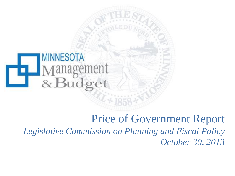

# Price of Government Report *Legislative Commission on Planning and Fiscal Policy October 30, 2013*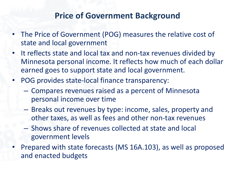#### **Price of Government Background**

- The Price of Government (POG) measures the relative cost of state and local government
- It reflects state and local tax and non-tax revenues divided by Minnesota personal income. It reflects how much of each dollar earned goes to support state and local government.
- POG provides state-local finance transparency:
	- Compares revenues raised as a percent of Minnesota personal income over time
	- Breaks out revenues by type: income, sales, property and other taxes, as well as fees and other non-tax revenues
	- Shows share of revenues collected at state and local government levels
- Prepared with state forecasts (MS 16A.103), as well as proposed and enacted budgets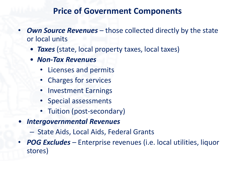#### **Price of Government Components**

- **Own Source Revenues** those collected directly by the state or local units
	- *Taxes* (state, local property taxes, local taxes)
	- *Non-Tax Revenues*
		- Licenses and permits
		- Charges for services
		- Investment Earnings
		- Special assessments
		- Tuition (post-secondary)
- *Intergovernmental Revenues*
	- State Aids, Local Aids, Federal Grants
- *POG Excludes –* Enterprise revenues (i.e. local utilities, liquor stores)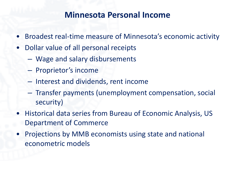#### **Minnesota Personal Income**

- Broadest real-time measure of Minnesota's economic activity
- Dollar value of all personal receipts
	- Wage and salary disbursements
	- Proprietor's income
	- Interest and dividends, rent income
	- Transfer payments (unemployment compensation, social security)
- Historical data series from Bureau of Economic Analysis, US Department of Commerce
- Projections by MMB economists using state and national econometric models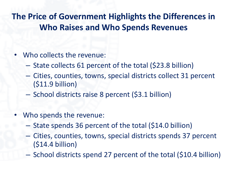**The Price of Government Highlights the Differences in Who Raises and Who Spends Revenues**

- Who collects the revenue:
	- State collects 61 percent of the total (\$23.8 billion)
	- Cities, counties, towns, special districts collect 31 percent (\$11.9 billion)
	- School districts raise 8 percent (\$3.1 billion)
- Who spends the revenue:
	- State spends 36 percent of the total (\$14.0 billion)
	- Cities, counties, towns, special districts spends 37 percent (\$14.4 billion)
	- School districts spend 27 percent of the total (\$10.4 billion)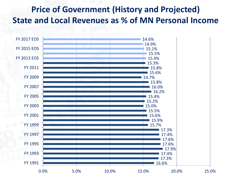## **Price of Government (History and Projected) State and Local Revenues as % of MN Personal Income**

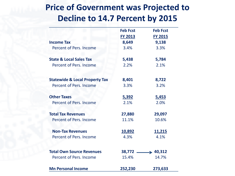## **Price of Government was Projected to Decline to 14.7 Percent by 2015**

|                                           | <b>Feb Fcst</b> | <b>Feb Fcst</b> |
|-------------------------------------------|-----------------|-----------------|
|                                           | <b>FY 2013</b>  | <b>FY 2015</b>  |
| <b>Income Tax</b>                         | 8,649           | 9,138           |
| Percent of Pers. Income                   | 3.4%            | 3.3%            |
| <b>State &amp; Local Sales Tax</b>        | 5,438           | 5,784           |
| Percent of Pers. Income                   | 2.2%            | 2.1%            |
| <b>Statewide &amp; Local Property Tax</b> | 8,401           | 8,722           |
| Percent of Pers. Income                   | 3.3%            | 3.2%            |
| <b>Other Taxes</b>                        | 5,392           | 5,453           |
| Percent of Pers. Income                   | 2.1%            | 2.0%            |
| <b>Total Tax Revenues</b>                 | 27,880          | 29,097          |
| Percent of Pers. Income                   | 11.1%           | 10.6%           |
| <b>Non-Tax Revenues</b>                   | 10,892          | 11,215          |
| Percent of Pers. Income                   | 4.3%            | 4.1%            |
| <b>Total Own Source Revenues</b>          | 38,772          | $\div$ 40,312   |
| Percent of Pers. Income                   | 15.4%           | 14.7%           |
| <b>Mn Personal Income</b>                 | 252,230         | 273,633         |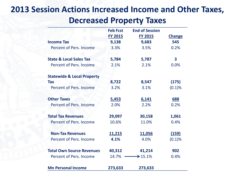### **2013 Session Actions Increased Income and Other Taxes, Decreased Property Taxes**

|                                       | <b>Feb Fcst</b> | <b>End of Session</b> |               |
|---------------------------------------|-----------------|-----------------------|---------------|
|                                       | <b>FY 2015</b>  | <b>FY 2015</b>        | <b>Change</b> |
| <b>Income Tax</b>                     | 9,138           | 9,683                 | 545           |
| Percent of Pers. Income               | 3.3%            | 3.5%                  | 0.2%          |
|                                       |                 |                       |               |
| <b>State &amp; Local Sales Tax</b>    | 5,784           | 5,787                 | 3             |
| Percent of Pers. Income               | 2.1%            | 2.1%                  | 0.0%          |
| <b>Statewide &amp; Local Property</b> |                 |                       |               |
| <b>Tax</b>                            | 8,722           | 8,547                 | (175)         |
| Percent of Pers. Income               | 3.2%            | 3.1%                  | (0.1)%        |
|                                       |                 |                       |               |
| <b>Other Taxes</b>                    | 5,453           | 6,141                 | <b>688</b>    |
| Percent of Pers. Income               | 2.0%            | 2.2%                  | 0.2%          |
| <b>Total Tax Revenues</b>             | 29,097          | 30,158                | 1,061         |
| Percent of Pers. Income               | 10.6%           | 11.0%                 | 0.4%          |
| <b>Non-Tax Revenues</b>               | <u>11,215</u>   | <u>11,056</u>         | (159)         |
| Percent of Pers. Income               | 4.1%            | 4.0%                  | (0.1)%        |
|                                       |                 |                       |               |
| <b>Total Own Source Revenues</b>      | 40,312          | 41,214                | 902           |
| Percent of Pers. Income               | 14.7%           | $\geq 15.1\%$         | 0.4%          |
| <b>Mn Personal Income</b>             | 273,633         | 273,633               |               |